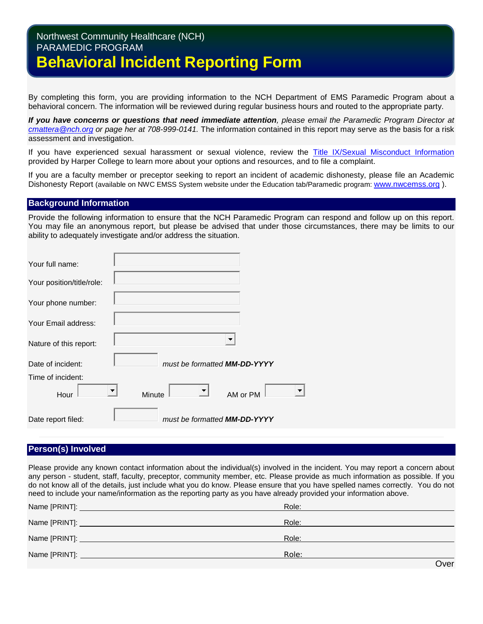# Northwest Community Healthcare (NCH) PARAMEDIC PROGRAM **Behavioral Incident Reporting Form**

By completing this form, you are providing information to the NCH Department of EMS Paramedic Program about a behavioral concern. The information will be reviewed during regular business hours and routed to the appropriate party.

*If you have concerns or questions that need immediate attention, please email the Paramedic Program Director at [cmattera@nch.org](mailto:cmattera@nch.org) or page her at 708-999-0141.* The information contained in this report may serve as the basis for a risk assessment and investigation.

If you have experienced sexual harassment or sexual violence, review the [Title IX/Sexual Misconduct Information](http://goforward.harpercollege.edu/about/consumerinfo/title-ix/) provided by Harper College to learn more about your options and resources, and to file a complaint.

If you are a faculty member or preceptor seeking to report an incident of academic dishonesty, please file an Academic Dishonesty Report (available on NWC EMSS System website under the Education tab/Paramedic program: [www.nwcemss.org](http://www.nwcemss.org/) ).

## **Background Information**

Provide the following information to ensure that the NCH Paramedic Program can respond and follow up on this report. You may file an anonymous report, but please be advised that under those circumstances, there may be limits to our ability to adequately investigate and/or address the situation.

| Your full name:           |                                                |
|---------------------------|------------------------------------------------|
| Your position/title/role: |                                                |
| Your phone number:        |                                                |
| Your Email address:       |                                                |
| Nature of this report:    |                                                |
| Date of incident:         | must be formatted MM-DD-YYYY                   |
| Time of incident:         |                                                |
| Hour                      | $\overline{\phantom{a}}$<br>AM or PM<br>Minute |
| Date report filed:        | must be formatted MM-DD-YYYY                   |

# **Person(s) Involved**

Please provide any known contact information about the individual(s) involved in the incident. You may report a concern about any person - student, staff, faculty, preceptor, community member, etc. Please provide as much information as possible. If you do not know all of the details, just include what you do know. Please ensure that you have spelled names correctly. You do not need to include your name/information as the reporting party as you have already provided your information above.

| Role: |      |
|-------|------|
| Role: |      |
| Role: |      |
| Role: |      |
|       | Over |